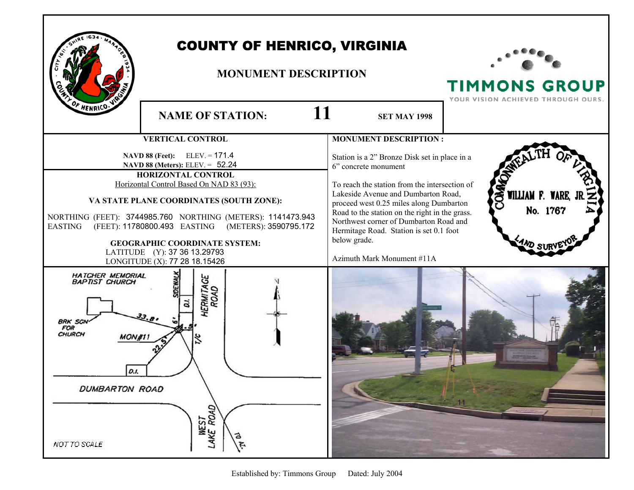